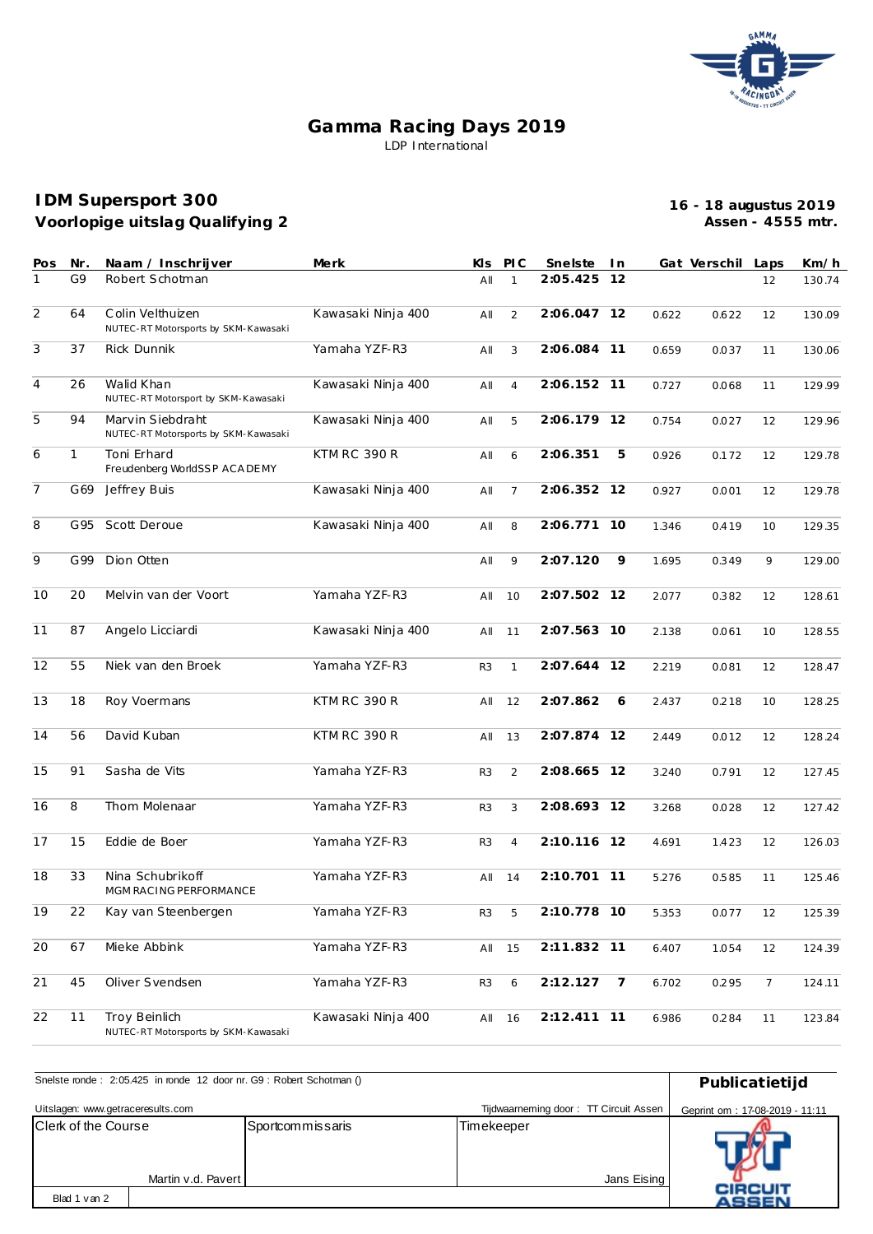

## **Gamma Racing Days 2019** LDP International

## **Voorlopige uitslag Qualifying 2 IDM Supersport 300**

**16 - 18 augustus 2019 Assen - 4555 mtr.**

| Pos            | Nr.          | Naam / Inschrijver                                       | Merk               | Kls            | PI C           | Snelste     | I n            |       | Gat Verschil Laps |    | Km/h   |
|----------------|--------------|----------------------------------------------------------|--------------------|----------------|----------------|-------------|----------------|-------|-------------------|----|--------|
| 1              | G9           | Robert Schotman                                          |                    | All            | $\mathbf{1}$   | 2:05.425    | 12             |       |                   | 12 | 130.74 |
| $\overline{2}$ | 64           | Colin Velthuizen<br>NUTEC-RT Motorsports by SKM-Kawasaki | Kawasaki Ninja 400 | All            | 2              | 2:06.047 12 |                | 0.622 | 0.622             | 12 | 130.09 |
| 3              | 37           | <b>Rick Dunnik</b>                                       | Yamaha YZF-R3      | All            | 3              | 2:06.084    | 11             | 0.659 | 0.037             | 11 | 130.06 |
| $\overline{4}$ | 26           | Walid Khan<br>NUTEC-RT Motorsport by SKM-Kawasaki        | Kawasaki Ninja 400 | All            | $\overline{4}$ | 2:06.152 11 |                | 0.727 | 0.068             | 11 | 129.99 |
| 5              | 94           | Marvin Siebdraht<br>NUTEC-RT Motorsports by SKM-Kawasaki | Kawasaki Ninja 400 | All            | 5              | 2:06.179 12 |                | 0.754 | 0.027             | 12 | 129.96 |
| 6              | $\mathbf{1}$ | Toni Erhard<br>Freudenberg WorldSSP ACA DEMY             | KTM RC 390 R       | All            | 6              | 2:06.351    | 5              | 0.926 | 0.172             | 12 | 129.78 |
| $\overline{7}$ | G69          | Jeffrey Buis                                             | Kawasaki Ninja 400 | All            | $\overline{7}$ | 2:06.352 12 |                | 0.927 | 0.001             | 12 | 129.78 |
| 8              | G95          | Scott Deroue                                             | Kawasaki Ninja 400 | All            | 8              | 2:06.771    | 10             | 1.346 | 0.419             | 10 | 129.35 |
| 9              | G99          | Dion Otten                                               |                    | All            | 9              | 2:07.120    | 9              | 1.695 | 0.349             | 9  | 129.00 |
| 10             | 20           | Melvin van der Voort                                     | Yamaha YZF-R3      | All            | 10             | 2:07.502 12 |                | 2.077 | 0.382             | 12 | 128.61 |
| 11             | 87           | Angelo Licciardi                                         | Kawasaki Ninja 400 | All            | 11             | 2:07.563 10 |                | 2.138 | 0.061             | 10 | 128.55 |
| 12             | 55           | Niek van den Broek                                       | Yamaha YZF-R3      | R <sub>3</sub> | $\mathbf{1}$   | 2:07.644    | 12             | 2.219 | 0.081             | 12 | 128.47 |
| 13             | 18           | Roy Voermans                                             | KTM RC 390 R       | All            | 12             | 2:07.862    | 6              | 2.437 | 0.218             | 10 | 128.25 |
| 14             | 56           | David Kuban                                              | KTM RC 390 R       | All            | 13             | 2:07.874 12 |                | 2.449 | 0.012             | 12 | 128.24 |
| 15             | 91           | Sasha de Vits                                            | Yamaha YZF-R3      | R <sub>3</sub> | 2              | 2:08.665 12 |                | 3.240 | 0.791             | 12 | 127.45 |
| 16             | 8            | Thom Molenaar                                            | Yamaha YZF-R3      | R <sub>3</sub> | 3              | 2:08.693 12 |                | 3.268 | 0.028             | 12 | 127.42 |
| 17             | 15           | Eddie de Boer                                            | Yamaha YZF-R3      | R <sub>3</sub> | $\overline{4}$ | 2:10.116 12 |                | 4.691 | 1.423             | 12 | 126.03 |
| 18             | 33           | Nina Schubrikoff<br>MGM RACING PERFORMANCE               | Yamaha YZF-R3      | All            | 14             | 2:10.701    | - 11           | 5.276 | 0.585             | 11 | 125.46 |
| 19             | 22           | Kay van Steenbergen                                      | Yamaha YZF-R3      | R3             | 5              | 2:10.778 10 |                | 5.353 | 0.077             | 12 | 125.39 |
| 20             | 67           | Mieke Abbink                                             | Yamaha YZF-R3      |                | All 15         | 2:11.832 11 |                | 6.407 | 1.054             | 12 | 124.39 |
| 21             | 45           | Oliver Svendsen                                          | Yamaha YZF-R3      | R3             | 6              | 2:12.127    | $\overline{7}$ | 6.702 | 0.295             | 7  | 124.11 |
| 22             | 11           | Troy Beinlich<br>NUTEC-RT Motorsports by SKM-Kawasaki    | Kawasaki Ninja 400 | All            | 16             | 2:12.411 11 |                | 6.986 | 0.284             | 11 | 123.84 |

| Snelste ronde: 2:05.425 in ronde 12 door nr. G9: Robert Schotman () | Publicatietijd                 |                  |             |                         |  |  |  |  |
|---------------------------------------------------------------------|--------------------------------|------------------|-------------|-------------------------|--|--|--|--|
|                                                                     |                                |                  |             |                         |  |  |  |  |
| Uitslagen: www.getraceresults.com                                   | Geprint om: 17-08-2019 - 11:11 |                  |             |                         |  |  |  |  |
| <b>Clerk of the Course</b>                                          |                                | Sportcommissaris | Timekeeper  |                         |  |  |  |  |
|                                                                     | Martin v.d. Pavert I           |                  | Jans Eising |                         |  |  |  |  |
| Blad 1 van 2                                                        |                                |                  |             | <b>CIRCUIT</b><br>ASSEN |  |  |  |  |